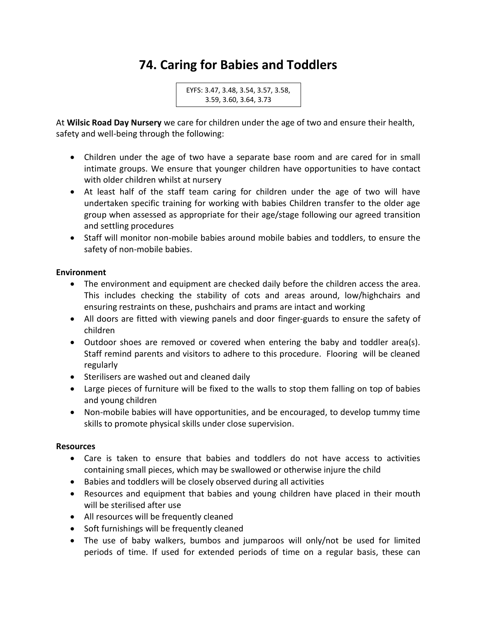# **74. Caring for Babies and Toddlers**

```
EYFS: 3.47, 3.48, 3.54, 3.57, 3.58, 
3.59, 3.60, 3.64, 3.73
```
At **Wilsic Road Day Nursery** we care for children under the age of two and ensure their health, safety and well-being through the following:

- Children under the age of two have a separate base room and are cared for in small intimate groups. We ensure that younger children have opportunities to have contact with older children whilst at nursery
- At least half of the staff team caring for children under the age of two will have undertaken specific training for working with babies Children transfer to the older age group when assessed as appropriate for their age/stage following our agreed transition and settling procedures
- Staff will monitor non-mobile babies around mobile babies and toddlers, to ensure the safety of non-mobile babies.

## **Environment**

- The environment and equipment are checked daily before the children access the area. This includes checking the stability of cots and areas around, low/highchairs and ensuring restraints on these, pushchairs and prams are intact and working
- All doors are fitted with viewing panels and door finger-guards to ensure the safety of children
- Outdoor shoes are removed or covered when entering the baby and toddler area(s). Staff remind parents and visitors to adhere to this procedure. Flooring will be cleaned regularly
- Sterilisers are washed out and cleaned daily
- Large pieces of furniture will be fixed to the walls to stop them falling on top of babies and young children
- Non-mobile babies will have opportunities, and be encouraged, to develop tummy time skills to promote physical skills under close supervision.

#### **Resources**

- Care is taken to ensure that babies and toddlers do not have access to activities containing small pieces, which may be swallowed or otherwise injure the child
- Babies and toddlers will be closely observed during all activities
- Resources and equipment that babies and young children have placed in their mouth will be sterilised after use
- All resources will be frequently cleaned
- Soft furnishings will be frequently cleaned
- The use of baby walkers, bumbos and jumparoos will only/not be used for limited periods of time. If used for extended periods of time on a regular basis, these can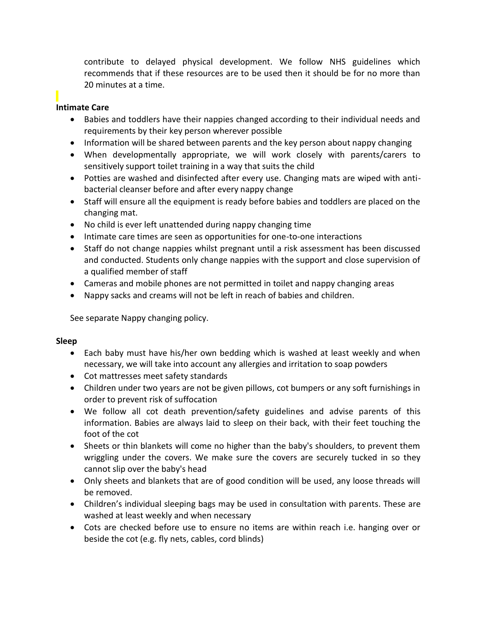contribute to delayed physical development. We follow NHS guidelines which recommends that if these resources are to be used then it should be for no more than 20 minutes at a time.

## **Intimate Care**

- Babies and toddlers have their nappies changed according to their individual needs and requirements by their key person wherever possible
- Information will be shared between parents and the key person about nappy changing
- When developmentally appropriate, we will work closely with parents/carers to sensitively support toilet training in a way that suits the child
- Potties are washed and disinfected after every use. Changing mats are wiped with antibacterial cleanser before and after every nappy change
- Staff will ensure all the equipment is ready before babies and toddlers are placed on the changing mat.
- No child is ever left unattended during nappy changing time
- Intimate care times are seen as opportunities for one-to-one interactions
- Staff do not change nappies whilst pregnant until a risk assessment has been discussed and conducted. Students only change nappies with the support and close supervision of a qualified member of staff
- Cameras and mobile phones are not permitted in toilet and nappy changing areas
- Nappy sacks and creams will not be left in reach of babies and children.

See separate Nappy changing policy.

#### **Sleep**

- Each baby must have his/her own bedding which is washed at least weekly and when necessary, we will take into account any allergies and irritation to soap powders
- Cot mattresses meet safety standards
- Children under two years are not be given pillows, cot bumpers or any soft furnishings in order to prevent risk of suffocation
- We follow all cot death prevention/safety guidelines and advise parents of this information. Babies are always laid to sleep on their back, with their feet touching the foot of the cot
- Sheets or thin blankets will come no higher than the baby's shoulders, to prevent them wriggling under the covers. We make sure the covers are securely tucked in so they cannot slip over the baby's head
- Only sheets and blankets that are of good condition will be used, any loose threads will be removed.
- Children's individual sleeping bags may be used in consultation with parents. These are washed at least weekly and when necessary
- Cots are checked before use to ensure no items are within reach i.e. hanging over or beside the cot (e.g. fly nets, cables, cord blinds)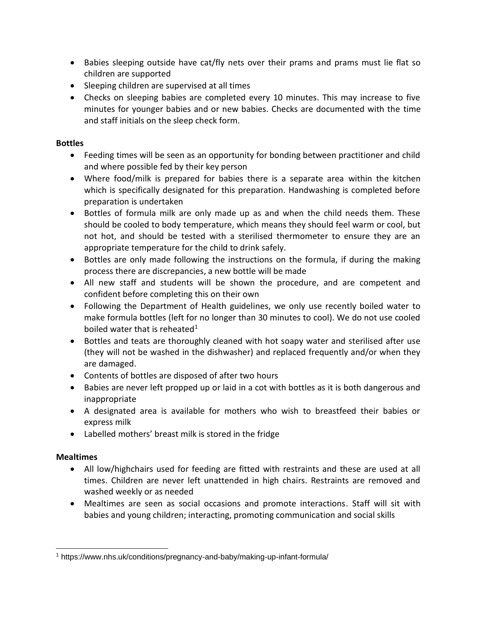- Babies sleeping outside have cat/fly nets over their prams and prams must lie flat so children are supported
- Sleeping children are supervised at all times
- Checks on sleeping babies are completed every 10 minutes. This may increase to five minutes for younger babies and or new babies. Checks are documented with the time and staff initials on the sleep check form.

## **Bottles**

- Feeding times will be seen as an opportunity for bonding between practitioner and child and where possible fed by their key person
- Where food/milk is prepared for babies there is a separate area within the kitchen which is specifically designated for this preparation. Handwashing is completed before preparation is undertaken
- Bottles of formula milk are only made up as and when the child needs them. These should be cooled to body temperature, which means they should feel warm or cool, but not hot, and should be tested with a sterilised thermometer to ensure they are an appropriate temperature for the child to drink safely.
- Bottles are only made following the instructions on the formula, if during the making process there are discrepancies, a new bottle will be made
- All new staff and students will be shown the procedure, and are competent and confident before completing this on their own
- Following the Department of Health guidelines, we only use recently boiled water to make formula bottles (left for no longer than 30 minutes to cool). We do not use cooled boiled water that is reheated<sup>1</sup>
- Bottles and teats are thoroughly cleaned with hot soapy water and sterilised after use (they will not be washed in the dishwasher) and replaced frequently and/or when they are damaged.
- Contents of bottles are disposed of after two hours
- Babies are never left propped up or laid in a cot with bottles as it is both dangerous and inappropriate
- A designated area is available for mothers who wish to breastfeed their babies or express milk
- Labelled mothers' breast milk is stored in the fridge

## **Mealtimes**

- All low/highchairs used for feeding are fitted with restraints and these are used at all times. Children are never left unattended in high chairs. Restraints are removed and washed weekly or as needed
- Mealtimes are seen as social occasions and promote interactions. Staff will sit with babies and young children; interacting, promoting communication and social skills

<sup>1</sup> https://www.nhs.uk/conditions/pregnancy-and-baby/making-up-infant-formula/